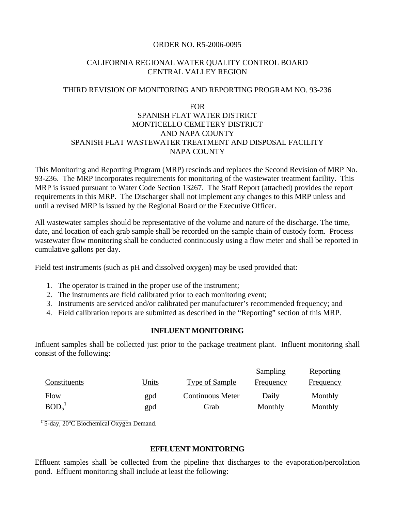## ORDER NO. R5-2006-0095

## CALIFORNIA REGIONAL WATER QUALITY CONTROL BOARD CENTRAL VALLEY REGION

## THIRD REVISION OF MONITORING AND REPORTING PROGRAM NO. 93-236

# FOR SPANISH FLAT WATER DISTRICT MONTICELLO CEMETERY DISTRICT AND NAPA COUNTY SPANISH FLAT WASTEWATER TREATMENT AND DISPOSAL FACILITY NAPA COUNTY

This Monitoring and Reporting Program (MRP) rescinds and replaces the Second Revision of MRP No. 93-236. The MRP incorporates requirements for monitoring of the wastewater treatment facility. This MRP is issued pursuant to Water Code Section 13267. The Staff Report (attached) provides the report requirements in this MRP. The Discharger shall not implement any changes to this MRP unless and until a revised MRP is issued by the Regional Board or the Executive Officer.

All wastewater samples should be representative of the volume and nature of the discharge. The time, date, and location of each grab sample shall be recorded on the sample chain of custody form. Process wastewater flow monitoring shall be conducted continuously using a flow meter and shall be reported in cumulative gallons per day.

Field test instruments (such as pH and dissolved oxygen) may be used provided that:

- 1. The operator is trained in the proper use of the instrument;
- 2. The instruments are field calibrated prior to each monitoring event;
- 3. Instruments are serviced and/or calibrated per manufacturer's recommended frequency; and
- 4. Field calibration reports are submitted as described in the "Reporting" section of this MRP.

### **INFLUENT MONITORING**

Influent samples shall be collected just prior to the package treatment plant. Influent monitoring shall consist of the following:

|                               |       |                         | Sampling         | Reporting        |
|-------------------------------|-------|-------------------------|------------------|------------------|
| Constituents                  | Units | Type of Sample          | <b>Frequency</b> | <b>Frequency</b> |
| Flow                          | gpd   | <b>Continuous Meter</b> | Daily            | Monthly          |
| BOD <sub>5</sub> <sup>1</sup> | gpd   | Grab                    | Monthly          | Monthly          |

 $\frac{1}{1}$  5-day, 20<sup>o</sup>C Biochemical Oxygen Demand.

### **EFFLUENT MONITORING**

Effluent samples shall be collected from the pipeline that discharges to the evaporation/percolation pond. Effluent monitoring shall include at least the following: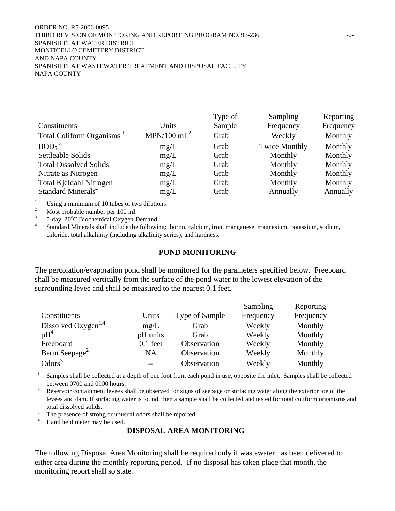#### ORDER NO. R5-2006-0095 THIRD REVISION OF MONITORING AND REPORTING PROGRAM NO. 93-236  $-2$ -SPANISH FLAT WATER DISTRICT MONTICELLO CEMETERY DISTRICT AND NAPA COUNTY SPANISH FLAT WASTEWATER TREATMENT AND DISPOSAL FACILITY NAPA COUNTY

|                                       |                           | Type of | Sampling             | Reporting        |
|---------------------------------------|---------------------------|---------|----------------------|------------------|
| Constituents                          | Units                     | Sample  | Frequency            | <b>Frequency</b> |
| Total Coliform Organisms <sup>1</sup> | $MPN/100$ mL <sup>2</sup> | Grab    | Weekly               | Monthly          |
| $BOD5$ <sup>3</sup>                   | mg/L                      | Grab    | <b>Twice Monthly</b> | Monthly          |
| Settleable Solids                     | mg/L                      | Grab    | Monthly              | Monthly          |
| <b>Total Dissolved Solids</b>         | mg/L                      | Grab    | Monthly              | Monthly          |
| Nitrate as Nitrogen                   | mg/L                      | Grab    | Monthly              | Monthly          |
| Total Kjeldahl Nitrogen               | mg/L                      | Grab    | Monthly              | Monthly          |
| Standard Minerals <sup>4</sup>        | mg/L                      | Grab    | Annually             | Annually         |

1 Using a minimum of 10 tubes or two dilutions.

2  $\frac{2}{3}$  Most probable number per 100 ml.<br> $\frac{3}{2}$  5 day 20<sup>o</sup>C Biochemical Oxygen I

 $3^3$  5-day,  $20^{\circ}$ C Biochemical Oxygen Demand.

<sup>4</sup> Standard Minerals shall include the following: boron, calcium, iron, manganese, magnesium, potassium, sodium, chloride, total alkalinity (including alkalinity series), and hardness.

#### **POND MONITORING**

The percolation/evaporation pond shall be monitored for the parameters specified below. Freeboard shall be measured vertically from the surface of the pond water to the lowest elevation of the surrounding levee and shall be measured to the nearest 0.1 feet.

|                                 |            |                       | Sampling         | Reporting        |
|---------------------------------|------------|-----------------------|------------------|------------------|
| Constituents                    | Units      | <b>Type of Sample</b> | <b>Frequency</b> | <b>Frequency</b> |
| Dissolved Oxygen <sup>1,4</sup> | mg/L       | Grab                  | Weekly           | Monthly          |
| $pH^4$                          | pH units   | Grab                  | Weekly           | Monthly          |
| Freeboard                       | $0.1$ feet | Observation           | Weekly           | Monthly          |
| Berm Seepage <sup>2</sup>       | NA         | Observation           | Weekly           | Monthly          |
| Odors <sup>3</sup>              |            | Observation           | Weekly           | Monthly          |

1 Samples shall be collected at a depth of one foot from each pond in use, opposite the inlet. Samples shall be collected between 0700 and 0900 hours.<br> $\frac{2}{\sqrt{2}}$  Because containment layers s

 Reservoir containment levees shall be observed for signs of seepage or surfacing water along the exterior toe of the levees and dam. If surfacing water is found, then a sample shall be collected and tested for total coliform organisms and total dissolved solids.<br> $\frac{3}{\pi}$  The presence of strep

The presence of strong or unusual odors shall be reported.

4 Hand held meter may be used.

### **DISPOSAL AREA MONITORING**

The following Disposal Area Monitoring shall be required only if wastewater has been delivered to either area during the monthly reporting period. If no disposal has taken place that month, the monitoring report shall so state.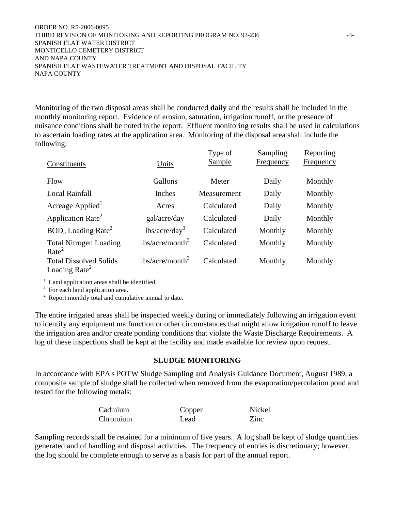#### ORDER NO. R5-2006-0095 THIRD REVISION OF MONITORING AND REPORTING PROGRAM NO. 93-236 -3-SPANISH FLAT WATER DISTRICT MONTICELLO CEMETERY DISTRICT AND NAPA COUNTY SPANISH FLAT WASTEWATER TREATMENT AND DISPOSAL FACILITY NAPA COUNTY

Monitoring of the two disposal areas shall be conducted **daily** and the results shall be included in the monthly monitoring report. Evidence of erosion, saturation, irrigation runoff, or the presence of nuisance conditions shall be noted in the report. Effluent monitoring results shall be used in calculations to ascertain loading rates at the application area. Monitoring of the disposal area shall include the following:

| Constituents                                                                 | Units              | Type of<br>Sample | Sampling<br>Frequency | Reporting<br>Frequency |
|------------------------------------------------------------------------------|--------------------|-------------------|-----------------------|------------------------|
| Flow                                                                         | Gallons            | Meter             | Daily                 | Monthly                |
| <b>Local Rainfall</b>                                                        | Inches             | Measurement       | Daily                 | Monthly                |
| Acreage Applied <sup>1</sup>                                                 | Acres              | Calculated        | Daily                 | Monthly                |
| Application Rate <sup>2</sup>                                                | gal/acre/day       | Calculated        | Daily                 | Monthly                |
| $BOD5$ Loading Rate <sup>2</sup>                                             | $lbs/acre/day^3$   | Calculated        | Monthly               | Monthly                |
| <b>Total Nitrogen Loading</b><br>Rate <sup>2</sup>                           | $lbs/acre/month^3$ | Calculated        | Monthly               | Monthly                |
| <b>Total Dissolved Solids</b><br>Loading Rate <sup><math>\angle</math></sup> | $lbs/acre/month^3$ | Calculated        | Monthly               | Monthly                |

<sup>1</sup> Land application areas shall be identified.<br><sup>2</sup> For each land application area.<br><sup>2</sup> Report monthly total and cumulative annual to date.

The entire irrigated areas shall be inspected weekly during or immediately following an irrigation event to identify any equipment malfunction or other circumstances that might allow irrigation runoff to leave the irrigation area and/or create ponding conditions that violate the Waste Discharge Requirements. A log of these inspections shall be kept at the facility and made available for review upon request.

### **SLUDGE MONITORING**

In accordance with EPA's POTW Sludge Sampling and Analysis Guidance Document, August 1989, a composite sample of sludge shall be collected when removed from the evaporation/percolation pond and tested for the following metals:

| Cadmium  | Copper | Nickel |
|----------|--------|--------|
| Chromium | Lead   | Zinc   |

Sampling records shall be retained for a minimum of five years. A log shall be kept of sludge quantities generated and of handling and disposal activities. The frequency of entries is discretionary; however, the log should be complete enough to serve as a basis for part of the annual report.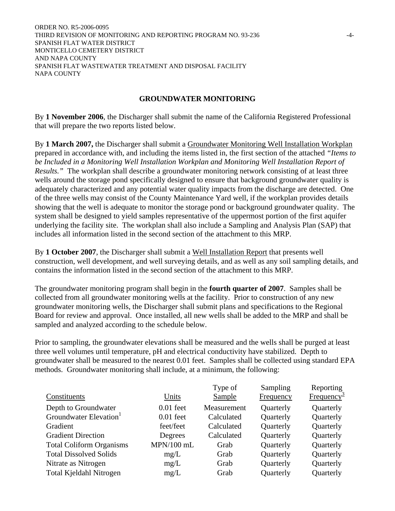ORDER NO. R5-2006-0095 THIRD REVISION OF MONITORING AND REPORTING PROGRAM NO. 93-236 -4- SPANISH FLAT WATER DISTRICT MONTICELLO CEMETERY DISTRICT AND NAPA COUNTY SPANISH FLAT WASTEWATER TREATMENT AND DISPOSAL FACILITY NAPA COUNTY

### **GROUNDWATER MONITORING**

By **1 November 2006**, the Discharger shall submit the name of the California Registered Professional that will prepare the two reports listed below.

By **1 March 2007,** the Discharger shall submit a Groundwater Monitoring Well Installation Workplan prepared in accordance with, and including the items listed in, the first section of the attached *"Items to be Included in a Monitoring Well Installation Workplan and Monitoring Well Installation Report of Results."* The workplan shall describe a groundwater monitoring network consisting of at least three wells around the storage pond specifically designed to ensure that background groundwater quality is adequately characterized and any potential water quality impacts from the discharge are detected. One of the three wells may consist of the County Maintenance Yard well, if the workplan provides details showing that the well is adequate to monitor the storage pond or background groundwater quality. The system shall be designed to yield samples representative of the uppermost portion of the first aquifer underlying the facility site. The workplan shall also include a Sampling and Analysis Plan (SAP) that includes all information listed in the second section of the attachment to this MRP.

By **1 October 2007**, the Discharger shall submit a Well Installation Report that presents well construction, well development, and well surveying details, and as well as any soil sampling details, and contains the information listed in the second section of the attachment to this MRP.

The groundwater monitoring program shall begin in the **fourth quarter of 2007**. Samples shall be collected from all groundwater monitoring wells at the facility. Prior to construction of any new groundwater monitoring wells, the Discharger shall submit plans and specifications to the Regional Board for review and approval. Once installed, all new wells shall be added to the MRP and shall be sampled and analyzed according to the schedule below.

Prior to sampling, the groundwater elevations shall be measured and the wells shall be purged at least three well volumes until temperature, pH and electrical conductivity have stabilized. Depth to groundwater shall be measured to the nearest 0.01 feet. Samples shall be collected using standard EPA methods. Groundwater monitoring shall include, at a minimum, the following:

|                                    |              | Type of     | Sampling  | Reporting              |
|------------------------------------|--------------|-------------|-----------|------------------------|
| Constituents                       | Units        | Sample      | Frequency | Frequency <sup>3</sup> |
| Depth to Groundwater               | $0.01$ feet  | Measurement | Quarterly | Quarterly              |
| Groundwater Elevation <sup>1</sup> | $0.01$ feet  | Calculated  | Quarterly | Quarterly              |
| Gradient                           | feet/feet    | Calculated  | Quarterly | Quarterly              |
| <b>Gradient Direction</b>          | Degrees      | Calculated  | Quarterly | Quarterly              |
| <b>Total Coliform Organisms</b>    | $MPN/100$ mL | Grab        | Quarterly | Quarterly              |
| <b>Total Dissolved Solids</b>      | mg/L         | Grab        | Quarterly | Quarterly              |
| Nitrate as Nitrogen                | mg/L         | Grab        | Quarterly | Quarterly              |
| Total Kjeldahl Nitrogen            | mg/L         | Grab        | Quarterly | Quarterly              |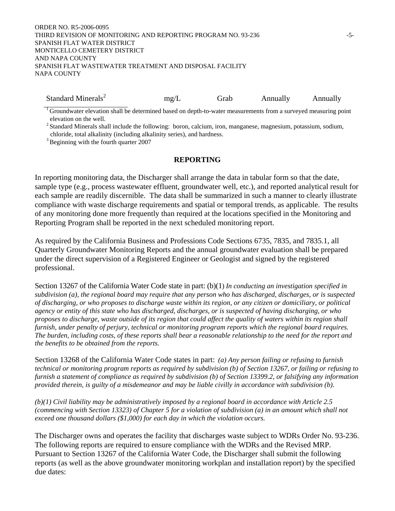#### ORDER NO. R5-2006-0095 THIRD REVISION OF MONITORING AND REPORTING PROGRAM NO. 93-236 -5-SPANISH FLAT WATER DISTRICT MONTICELLO CEMETERY DISTRICT AND NAPA COUNTY SPANISH FLAT WASTEWATER TREATMENT AND DISPOSAL FACILITY NAPA COUNTY

Standard Minerals<sup>2</sup> mg/L Grab Annually Annually Annually

 $1$  Groundwater elevation shall be determined based on depth-to-water measurements from a surveyed measuring point elevation on the well.

<sup>2</sup> Standard Minerals shall include the following: boron, calcium, iron, manganese, magnesium, potassium, sodium, chloride, total alkalinity (including alkalinity series), and hardness.

<sup>3</sup> Beginning with the fourth quarter 2007

### **REPORTING**

In reporting monitoring data, the Discharger shall arrange the data in tabular form so that the date, sample type (e.g., process wastewater effluent, groundwater well, etc.), and reported analytical result for each sample are readily discernible. The data shall be summarized in such a manner to clearly illustrate compliance with waste discharge requirements and spatial or temporal trends, as applicable. The results of any monitoring done more frequently than required at the locations specified in the Monitoring and Reporting Program shall be reported in the next scheduled monitoring report.

As required by the California Business and Professions Code Sections 6735, 7835, and 7835.1, all Quarterly Groundwater Monitoring Reports and the annual groundwater evaluation shall be prepared under the direct supervision of a Registered Engineer or Geologist and signed by the registered professional.

Section 13267 of the California Water Code state in part: (b)(1) *In conducting an investigation specified in subdivision (a), the regional board may require that any person who has discharged, discharges, or is suspected of discharging, or who proposes to discharge waste within its region, or any citizen or domiciliary, or political agency or entity of this state who has discharged, discharges, or is suspected of having discharging, or who proposes to discharge, waste outside of its region that could affect the quality of waters within its region shall furnish, under penalty of perjury, technical or monitoring program reports which the regional board requires. The burden, including costs, of these reports shall bear a reasonable relationship to the need for the report and the benefits to be obtained from the reports.* 

Section 13268 of the California Water Code states in part: *(a) Any person failing or refusing to furnish technical or monitoring program reports as required by subdivision (b) of Section 13267, or failing or refusing to furnish a statement of compliance as required by subdivision (b) of Section 13399.2, or falsifying any information provided therein, is guilty of a misdemeanor and may be liable civilly in accordance with subdivision (b).*

*(b)(1) Civil liability may be administratively imposed by a regional board in accordance with Article 2.5 (commencing with Section 13323) of Chapter 5 for a violation of subdivision (a) in an amount which shall not exceed one thousand dollars (\$1,000) for each day in which the violation occurs.* 

The Discharger owns and operates the facility that discharges waste subject to WDRs Order No. 93-236. The following reports are required to ensure compliance with the WDRs and the Revised MRP. Pursuant to Section 13267 of the California Water Code, the Discharger shall submit the following reports (as well as the above groundwater monitoring workplan and installation report) by the specified due dates: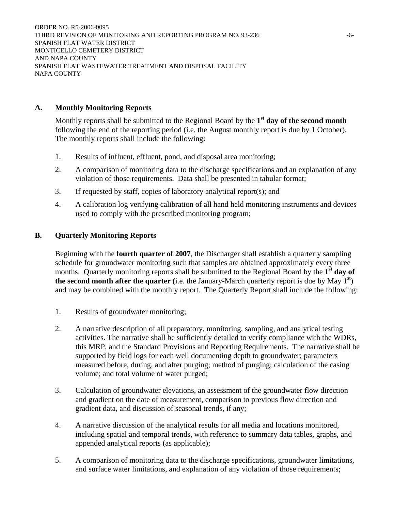ORDER NO. R5-2006-0095 THIRD REVISION OF MONITORING AND REPORTING PROGRAM NO. 93-236 -6-SPANISH FLAT WATER DISTRICT MONTICELLO CEMETERY DISTRICT AND NAPA COUNTY SPANISH FLAT WASTEWATER TREATMENT AND DISPOSAL FACILITY NAPA COUNTY

### **A. Monthly Monitoring Reports**

Monthly reports shall be submitted to the Regional Board by the **1st day of the second month** following the end of the reporting period (i.e. the August monthly report is due by 1 October). The monthly reports shall include the following:

- 1. Results of influent, effluent, pond, and disposal area monitoring;
- 2. A comparison of monitoring data to the discharge specifications and an explanation of any violation of those requirements. Data shall be presented in tabular format;
- 3. If requested by staff, copies of laboratory analytical report(s); and
- 4. A calibration log verifying calibration of all hand held monitoring instruments and devices used to comply with the prescribed monitoring program;

### **B. Quarterly Monitoring Reports**

Beginning with the **fourth quarter of 2007**, the Discharger shall establish a quarterly sampling schedule for groundwater monitoring such that samples are obtained approximately every three months. Quarterly monitoring reports shall be submitted to the Regional Board by the **1st day of the second month after the quarter** (i.e. the January-March quarterly report is due by May  $1<sup>st</sup>$ ) and may be combined with the monthly report. The Quarterly Report shall include the following:

- 1. Results of groundwater monitoring;
- 2. A narrative description of all preparatory, monitoring, sampling, and analytical testing activities. The narrative shall be sufficiently detailed to verify compliance with the WDRs, this MRP, and the Standard Provisions and Reporting Requirements. The narrative shall be supported by field logs for each well documenting depth to groundwater; parameters measured before, during, and after purging; method of purging; calculation of the casing volume; and total volume of water purged;
- 3. Calculation of groundwater elevations, an assessment of the groundwater flow direction and gradient on the date of measurement, comparison to previous flow direction and gradient data, and discussion of seasonal trends, if any;
- 4. A narrative discussion of the analytical results for all media and locations monitored, including spatial and temporal trends, with reference to summary data tables, graphs, and appended analytical reports (as applicable);
- 5. A comparison of monitoring data to the discharge specifications, groundwater limitations, and surface water limitations, and explanation of any violation of those requirements;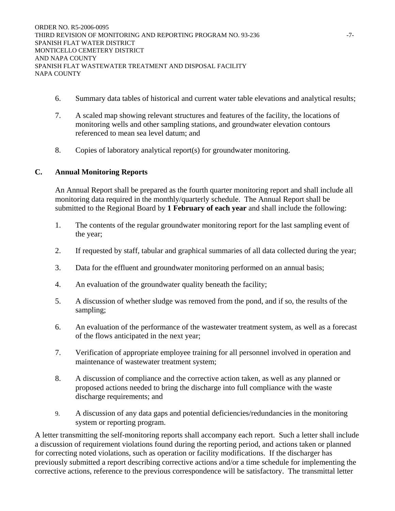- 6. Summary data tables of historical and current water table elevations and analytical results;
- 7. A scaled map showing relevant structures and features of the facility, the locations of monitoring wells and other sampling stations, and groundwater elevation contours referenced to mean sea level datum; and
- 8. Copies of laboratory analytical report(s) for groundwater monitoring.

## **C. Annual Monitoring Reports**

An Annual Report shall be prepared as the fourth quarter monitoring report and shall include all monitoring data required in the monthly/quarterly schedule. The Annual Report shall be submitted to the Regional Board by **1 February of each year** and shall include the following:

- 1. The contents of the regular groundwater monitoring report for the last sampling event of the year;
- 2. If requested by staff, tabular and graphical summaries of all data collected during the year;
- 3. Data for the effluent and groundwater monitoring performed on an annual basis;
- 4. An evaluation of the groundwater quality beneath the facility;
- 5. A discussion of whether sludge was removed from the pond, and if so, the results of the sampling;
- 6. An evaluation of the performance of the wastewater treatment system, as well as a forecast of the flows anticipated in the next year;
- 7. Verification of appropriate employee training for all personnel involved in operation and maintenance of wastewater treatment system;
- 8. A discussion of compliance and the corrective action taken, as well as any planned or proposed actions needed to bring the discharge into full compliance with the waste discharge requirements; and
- 9. A discussion of any data gaps and potential deficiencies/redundancies in the monitoring system or reporting program.

A letter transmitting the self-monitoring reports shall accompany each report. Such a letter shall include a discussion of requirement violations found during the reporting period, and actions taken or planned for correcting noted violations, such as operation or facility modifications. If the discharger has previously submitted a report describing corrective actions and/or a time schedule for implementing the corrective actions, reference to the previous correspondence will be satisfactory. The transmittal letter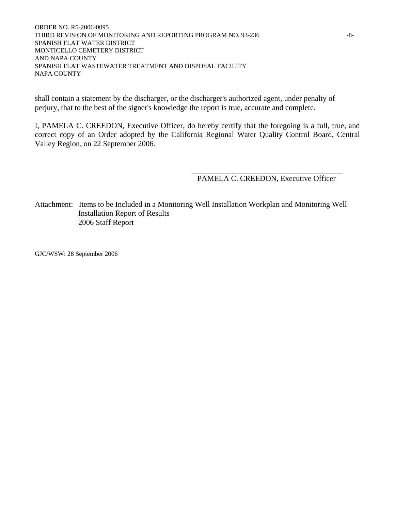ORDER NO. R5-2006-0095 THIRD REVISION OF MONITORING AND REPORTING PROGRAM NO. 93-236  $-8-$ SPANISH FLAT WATER DISTRICT MONTICELLO CEMETERY DISTRICT AND NAPA COUNTY SPANISH FLAT WASTEWATER TREATMENT AND DISPOSAL FACILITY NAPA COUNTY

shall contain a statement by the discharger, or the discharger's authorized agent, under penalty of perjury, that to the best of the signer's knowledge the report is true, accurate and complete.

I, PAMELA C. CREEDON, Executive Officer, do hereby certify that the foregoing is a full, true, and correct copy of an Order adopted by the California Regional Water Quality Control Board, Central Valley Region, on 22 September 2006.

PAMELA C. CREEDON, Executive Officer

Attachment: Items to be Included in a Monitoring Well Installation Workplan and Monitoring Well Installation Report of Results 2006 Staff Report

GJC/WSW: 28 September 2006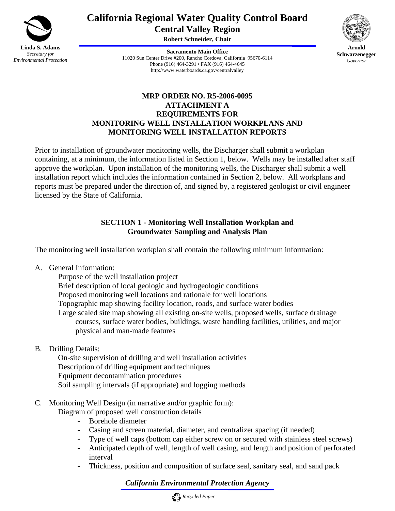

# **California Regional Water Quality Control Board Central Valley Region**

**Robert Schneider, Chair**

**Sacramento Main Office** 11020 Sun Center Drive #200, Rancho Cordova, California 95670-6114 Phone (916) 464-3291 • FAX (916) 464-4645 http://www.waterboards.ca.gov/centralvalley



**Arnold Schwarzenegger** *Governor* 

# **MRP ORDER NO. R5-2006-0095 ATTACHMENT A REQUIREMENTS FOR MONITORING WELL INSTALLATION WORKPLANS AND MONITORING WELL INSTALLATION REPORTS**

Prior to installation of groundwater monitoring wells, the Discharger shall submit a workplan containing, at a minimum, the information listed in Section 1, below. Wells may be installed after staff approve the workplan. Upon installation of the monitoring wells, the Discharger shall submit a well installation report which includes the information contained in Section 2, below. All workplans and reports must be prepared under the direction of, and signed by, a registered geologist or civil engineer licensed by the State of California.

# **SECTION 1 - Monitoring Well Installation Workplan and Groundwater Sampling and Analysis Plan**

The monitoring well installation workplan shall contain the following minimum information:

A. General Information:

 Purpose of the well installation project Brief description of local geologic and hydrogeologic conditions Proposed monitoring well locations and rationale for well locations Topographic map showing facility location, roads, and surface water bodies Large scaled site map showing all existing on-site wells, proposed wells, surface drainage courses, surface water bodies, buildings, waste handling facilities, utilities, and major physical and man-made features

B. Drilling Details:

 On-site supervision of drilling and well installation activities Description of drilling equipment and techniques Equipment decontamination procedures Soil sampling intervals (if appropriate) and logging methods

- C. Monitoring Well Design (in narrative and/or graphic form):
	- Diagram of proposed well construction details
		- Borehole diameter
		- Casing and screen material, diameter, and centralizer spacing (if needed)
		- Type of well caps (bottom cap either screw on or secured with stainless steel screws)
		- Anticipated depth of well, length of well casing, and length and position of perforated interval
		- Thickness, position and composition of surface seal, sanitary seal, and sand pack

*California Environmental Protection Agency*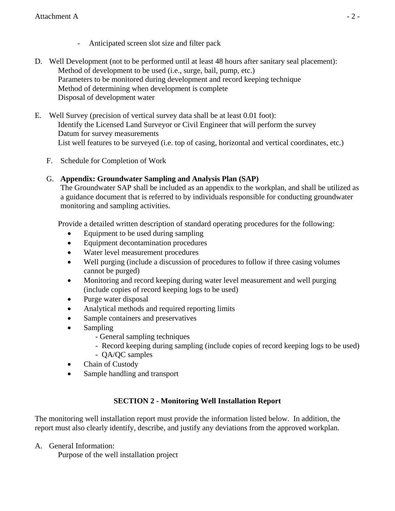- Anticipated screen slot size and filter pack
- D. Well Development (not to be performed until at least 48 hours after sanitary seal placement): Method of development to be used (i.e., surge, bail, pump, etc.) Parameters to be monitored during development and record keeping technique Method of determining when development is complete Disposal of development water
- E. Well Survey (precision of vertical survey data shall be at least 0.01 foot): Identify the Licensed Land Surveyor or Civil Engineer that will perform the survey Datum for survey measurements List well features to be surveyed (i.e. top of casing, horizontal and vertical coordinates, etc.)
	- F. Schedule for Completion of Work

# G. **Appendix: Groundwater Sampling and Analysis Plan (SAP)**

The Groundwater SAP shall be included as an appendix to the workplan, and shall be utilized as a guidance document that is referred to by individuals responsible for conducting groundwater monitoring and sampling activities.

Provide a detailed written description of standard operating procedures for the following:

- Equipment to be used during sampling
- Equipment decontamination procedures
- Water level measurement procedures
- Well purging (include a discussion of procedures to follow if three casing volumes cannot be purged)
- Monitoring and record keeping during water level measurement and well purging (include copies of record keeping logs to be used)
- Purge water disposal
- Analytical methods and required reporting limits
- Sample containers and preservatives
- Sampling
	- General sampling techniques
	- Record keeping during sampling (include copies of record keeping logs to be used)
	- QA/QC samples
- Chain of Custody
- Sample handling and transport

# **SECTION 2 - Monitoring Well Installation Report**

The monitoring well installation report must provide the information listed below. In addition, the report must also clearly identify, describe, and justify any deviations from the approved workplan.

A. General Information:

Purpose of the well installation project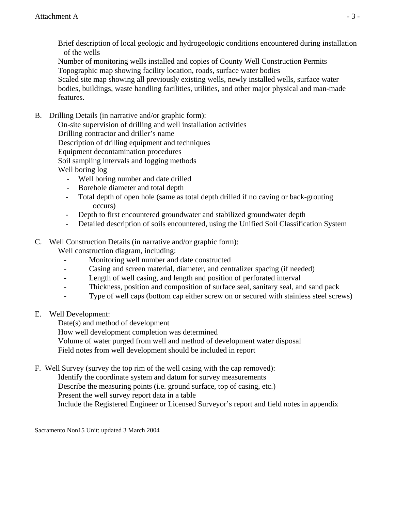Brief description of local geologic and hydrogeologic conditions encountered during installation of the wells

 Number of monitoring wells installed and copies of County Well Construction Permits Topographic map showing facility location, roads, surface water bodies Scaled site map showing all previously existing wells, newly installed wells, surface water bodies, buildings, waste handling facilities, utilities, and other major physical and man-made features.

B. Drilling Details (in narrative and/or graphic form):

 On-site supervision of drilling and well installation activities Drilling contractor and driller's name Description of drilling equipment and techniques Equipment decontamination procedures Soil sampling intervals and logging methods Well boring log

- Well boring number and date drilled
- Borehole diameter and total depth
- Total depth of open hole (same as total depth drilled if no caving or back-grouting occurs)
- Depth to first encountered groundwater and stabilized groundwater depth
- Detailed description of soils encountered, using the Unified Soil Classification System

# C. Well Construction Details (in narrative and/or graphic form):

Well construction diagram, including:

- Monitoring well number and date constructed
- Casing and screen material, diameter, and centralizer spacing (if needed)
- Length of well casing, and length and position of perforated interval
- Thickness, position and composition of surface seal, sanitary seal, and sand pack
- Type of well caps (bottom cap either screw on or secured with stainless steel screws)
- E. Well Development:

Date(s) and method of development

How well development completion was determined

Volume of water purged from well and method of development water disposal

Field notes from well development should be included in report

F. Well Survey (survey the top rim of the well casing with the cap removed):

 Identify the coordinate system and datum for survey measurements Describe the measuring points (i.e. ground surface, top of casing, etc.) Present the well survey report data in a table Include the Registered Engineer or Licensed Surveyor's report and field notes in appendix

Sacramento Non15 Unit: updated 3 March 2004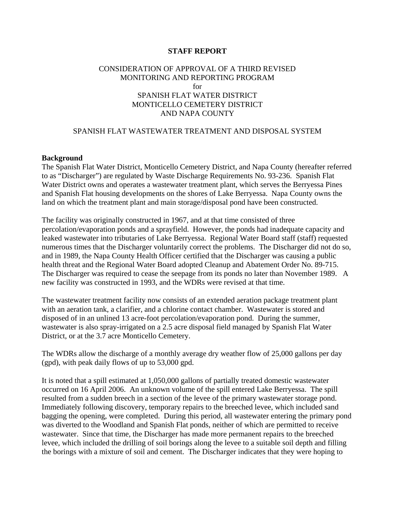### **STAFF REPORT**

### CONSIDERATION OF APPROVAL OF A THIRD REVISED MONITORING AND REPORTING PROGRAM for SPANISH FLAT WATER DISTRICT MONTICELLO CEMETERY DISTRICT AND NAPA COUNTY

### SPANISH FLAT WASTEWATER TREATMENT AND DISPOSAL SYSTEM

#### **Background**

The Spanish Flat Water District, Monticello Cemetery District, and Napa County (hereafter referred to as "Discharger") are regulated by Waste Discharge Requirements No. 93-236. Spanish Flat Water District owns and operates a wastewater treatment plant, which serves the Berryessa Pines and Spanish Flat housing developments on the shores of Lake Berryessa. Napa County owns the land on which the treatment plant and main storage/disposal pond have been constructed.

The facility was originally constructed in 1967, and at that time consisted of three percolation/evaporation ponds and a sprayfield. However, the ponds had inadequate capacity and leaked wastewater into tributaries of Lake Berryessa. Regional Water Board staff (staff) requested numerous times that the Discharger voluntarily correct the problems. The Discharger did not do so, and in 1989, the Napa County Health Officer certified that the Discharger was causing a public health threat and the Regional Water Board adopted Cleanup and Abatement Order No. 89-715. The Discharger was required to cease the seepage from its ponds no later than November 1989. A new facility was constructed in 1993, and the WDRs were revised at that time.

The wastewater treatment facility now consists of an extended aeration package treatment plant with an aeration tank, a clarifier, and a chlorine contact chamber. Wastewater is stored and disposed of in an unlined 13 acre-foot percolation/evaporation pond. During the summer, wastewater is also spray-irrigated on a 2.5 acre disposal field managed by Spanish Flat Water District, or at the 3.7 acre Monticello Cemetery.

The WDRs allow the discharge of a monthly average dry weather flow of 25,000 gallons per day (gpd), with peak daily flows of up to 53,000 gpd.

It is noted that a spill estimated at 1,050,000 gallons of partially treated domestic wastewater occurred on 16 April 2006. An unknown volume of the spill entered Lake Berryessa. The spill resulted from a sudden breech in a section of the levee of the primary wastewater storage pond. Immediately following discovery, temporary repairs to the breeched levee, which included sand bagging the opening, were completed. During this period, all wastewater entering the primary pond was diverted to the Woodland and Spanish Flat ponds, neither of which are permitted to receive wastewater. Since that time, the Discharger has made more permanent repairs to the breeched levee, which included the drilling of soil borings along the levee to a suitable soil depth and filling the borings with a mixture of soil and cement. The Discharger indicates that they were hoping to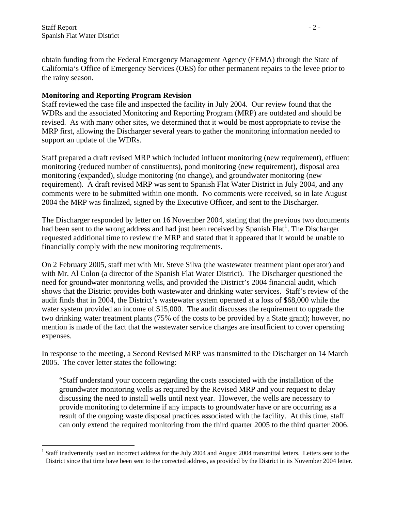$\overline{a}$ 

obtain funding from the Federal Emergency Management Agency (FEMA) through the State of California's Office of Emergency Services (OES) for other permanent repairs to the levee prior to the rainy season.

## **Monitoring and Reporting Program Revision**

Staff reviewed the case file and inspected the facility in July 2004. Our review found that the WDRs and the associated Monitoring and Reporting Program (MRP) are outdated and should be revised. As with many other sites, we determined that it would be most appropriate to revise the MRP first, allowing the Discharger several years to gather the monitoring information needed to support an update of the WDRs.

Staff prepared a draft revised MRP which included influent monitoring (new requirement), effluent monitoring (reduced number of constituents), pond monitoring (new requirement), disposal area monitoring (expanded), sludge monitoring (no change), and groundwater monitoring (new requirement). A draft revised MRP was sent to Spanish Flat Water District in July 2004, and any comments were to be submitted within one month. No comments were received, so in late August 2004 the MRP was finalized, signed by the Executive Officer, and sent to the Discharger.

The Discharger responded by letter on 16 November 2004, stating that the previous two documents had been sent to the wrong address and had just been received by Spanish Flat<sup>[1](#page-12-0)</sup>. The Discharger requested additional time to review the MRP and stated that it appeared that it would be unable to financially comply with the new monitoring requirements.

On 2 February 2005, staff met with Mr. Steve Silva (the wastewater treatment plant operator) and with Mr. Al Colon (a director of the Spanish Flat Water District). The Discharger questioned the need for groundwater monitoring wells, and provided the District's 2004 financial audit, which shows that the District provides both wastewater and drinking water services. Staff's review of the audit finds that in 2004, the District's wastewater system operated at a loss of \$68,000 while the water system provided an income of \$15,000. The audit discusses the requirement to upgrade the two drinking water treatment plants (75% of the costs to be provided by a State grant); however, no mention is made of the fact that the wastewater service charges are insufficient to cover operating expenses.

In response to the meeting, a Second Revised MRP was transmitted to the Discharger on 14 March 2005. The cover letter states the following:

"Staff understand your concern regarding the costs associated with the installation of the groundwater monitoring wells as required by the Revised MRP and your request to delay discussing the need to install wells until next year. However, the wells are necessary to provide monitoring to determine if any impacts to groundwater have or are occurring as a result of the ongoing waste disposal practices associated with the facility. At this time, staff can only extend the required monitoring from the third quarter 2005 to the third quarter 2006.

<span id="page-12-0"></span> $1$  Staff inadvertently used an incorrect address for the July 2004 and August 2004 transmittal letters. Letters sent to the District since that time have been sent to the corrected address, as provided by the District in its November 2004 letter.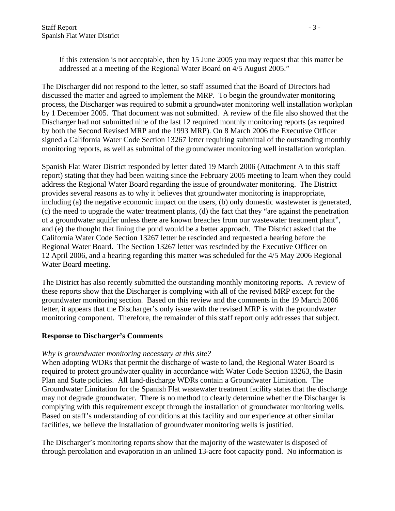If this extension is not acceptable, then by 15 June 2005 you may request that this matter be addressed at a meeting of the Regional Water Board on 4/5 August 2005."

The Discharger did not respond to the letter, so staff assumed that the Board of Directors had discussed the matter and agreed to implement the MRP. To begin the groundwater monitoring process, the Discharger was required to submit a groundwater monitoring well installation workplan by 1 December 2005. That document was not submitted. A review of the file also showed that the Discharger had not submitted nine of the last 12 required monthly monitoring reports (as required by both the Second Revised MRP and the 1993 MRP). On 8 March 2006 the Executive Officer signed a California Water Code Section 13267 letter requiring submittal of the outstanding monthly monitoring reports, as well as submittal of the groundwater monitoring well installation workplan.

Spanish Flat Water District responded by letter dated 19 March 2006 (Attachment A to this staff report) stating that they had been waiting since the February 2005 meeting to learn when they could address the Regional Water Board regarding the issue of groundwater monitoring. The District provides several reasons as to why it believes that groundwater monitoring is inappropriate, including (a) the negative economic impact on the users, (b) only domestic wastewater is generated, (c) the need to upgrade the water treatment plants, (d) the fact that they "are against the penetration of a groundwater aquifer unless there are known breaches from our wastewater treatment plant", and (e) the thought that lining the pond would be a better approach. The District asked that the California Water Code Section 13267 letter be rescinded and requested a hearing before the Regional Water Board. The Section 13267 letter was rescinded by the Executive Officer on 12 April 2006, and a hearing regarding this matter was scheduled for the 4/5 May 2006 Regional Water Board meeting.

The District has also recently submitted the outstanding monthly monitoring reports. A review of these reports show that the Discharger is complying with all of the revised MRP except for the groundwater monitoring section. Based on this review and the comments in the 19 March 2006 letter, it appears that the Discharger's only issue with the revised MRP is with the groundwater monitoring component. Therefore, the remainder of this staff report only addresses that subject.

### **Response to Discharger's Comments**

### *Why is groundwater monitoring necessary at this site?*

When adopting WDRs that permit the discharge of waste to land, the Regional Water Board is required to protect groundwater quality in accordance with Water Code Section 13263, the Basin Plan and State policies. All land-discharge WDRs contain a Groundwater Limitation. The Groundwater Limitation for the Spanish Flat wastewater treatment facility states that the discharge may not degrade groundwater. There is no method to clearly determine whether the Discharger is complying with this requirement except through the installation of groundwater monitoring wells. Based on staff's understanding of conditions at this facility and our experience at other similar facilities, we believe the installation of groundwater monitoring wells is justified.

The Discharger's monitoring reports show that the majority of the wastewater is disposed of through percolation and evaporation in an unlined 13-acre foot capacity pond. No information is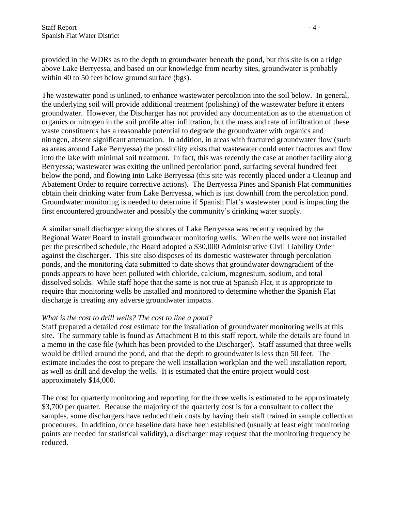provided in the WDRs as to the depth to groundwater beneath the pond, but this site is on a ridge above Lake Berryessa, and based on our knowledge from nearby sites, groundwater is probably within 40 to 50 feet below ground surface (bgs).

The wastewater pond is unlined, to enhance wastewater percolation into the soil below. In general, the underlying soil will provide additional treatment (polishing) of the wastewater before it enters groundwater. However, the Discharger has not provided any documentation as to the attenuation of organics or nitrogen in the soil profile after infiltration, but the mass and rate of infiltration of these waste constituents has a reasonable potential to degrade the groundwater with organics and nitrogen, absent significant attenuation. In addition, in areas with fractured groundwater flow (such as areas around Lake Berryessa) the possibility exists that wastewater could enter fractures and flow into the lake with minimal soil treatment. In fact, this was recently the case at another facility along Berryessa; wastewater was exiting the unlined percolation pond, surfacing several hundred feet below the pond, and flowing into Lake Berryessa (this site was recently placed under a Cleanup and Abatement Order to require corrective actions). The Berryessa Pines and Spanish Flat communities obtain their drinking water from Lake Berryessa, which is just downhill from the percolation pond. Groundwater monitoring is needed to determine if Spanish Flat's wastewater pond is impacting the first encountered groundwater and possibly the community's drinking water supply.

A similar small discharger along the shores of Lake Berryessa was recently required by the Regional Water Board to install groundwater monitoring wells. When the wells were not installed per the prescribed schedule, the Board adopted a \$30,000 Administrative Civil Liability Order against the discharger. This site also disposes of its domestic wastewater through percolation ponds, and the monitoring data submitted to date shows that groundwater downgradient of the ponds appears to have been polluted with chloride, calcium, magnesium, sodium, and total dissolved solids. While staff hope that the same is not true at Spanish Flat, it is appropriate to require that monitoring wells be installed and monitored to determine whether the Spanish Flat discharge is creating any adverse groundwater impacts.

### *What is the cost to drill wells? The cost to line a pond?*

Staff prepared a detailed cost estimate for the installation of groundwater monitoring wells at this site. The summary table is found as Attachment B to this staff report, while the details are found in a memo in the case file (which has been provided to the Discharger). Staff assumed that three wells would be drilled around the pond, and that the depth to groundwater is less than 50 feet. The estimate includes the cost to prepare the well installation workplan and the well installation report, as well as drill and develop the wells. It is estimated that the entire project would cost approximately \$14,000.

The cost for quarterly monitoring and reporting for the three wells is estimated to be approximately \$3,700 per quarter. Because the majority of the quarterly cost is for a consultant to collect the samples, some dischargers have reduced their costs by having their staff trained in sample collection procedures. In addition, once baseline data have been established (usually at least eight monitoring points are needed for statistical validity), a discharger may request that the monitoring frequency be reduced.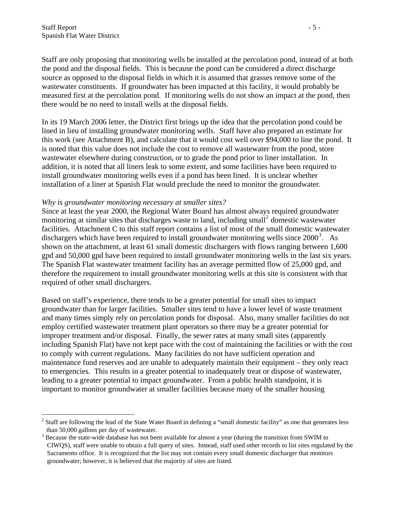$\overline{a}$ 

Staff are only proposing that monitoring wells be installed at the percolation pond, instead of at both the pond and the disposal fields. This is because the pond can be considered a direct discharge source as opposed to the disposal fields in which it is assumed that grasses remove some of the wastewater constituents. If groundwater has been impacted at this facility, it would probably be measured first at the percolation pond. If monitoring wells do not show an impact at the pond, then there would be no need to install wells at the disposal fields.

In its 19 March 2006 letter, the District first brings up the idea that the percolation pond could be lined in lieu of installing groundwater monitoring wells. Staff have also prepared an estimate for this work (see Attachment B), and calculate that it would cost well over \$94,000 to line the pond. It is noted that this value does not include the cost to remove all wastewater from the pond, store wastewater elsewhere during construction, or to grade the pond prior to liner installation. In addition, it is noted that all liners leak to some extent, and some facilities have been required to install groundwater monitoring wells even if a pond has been lined. It is unclear whether installation of a liner at Spanish Flat would preclude the need to monitor the groundwater.

#### *Why is groundwater monitoring necessary at smaller sites?*

Since at least the year 2000, the Regional Water Board has almost always required groundwater monitoring at similar sites that discharges waste to land, including small<sup>[2](#page-15-0)</sup> domestic wastewater facilities. Attachment C to this staff report contains a list of most of the small domestic wastewater dischargers which have been required to install groundwater monitoring wells since  $2000^3$  $2000^3$ . As shown on the attachment, at least 61 small domestic dischargers with flows ranging between 1,600 gpd and 50,000 gpd have been required to install groundwater monitoring wells in the last six years. The Spanish Flat wastewater treatment facility has an average permitted flow of 25,000 gpd, and therefore the requirement to install groundwater monitoring wells at this site is consistent with that required of other small dischargers.

Based on staff's experience, there tends to be a greater potential for small sites to impact groundwater than for larger facilities. Smaller sites tend to have a lower level of waste treatment and many times simply rely on percolation ponds for disposal. Also, many smaller facilities do not employ certified wastewater treatment plant operators so there may be a greater potential for improper treatment and/or disposal. Finally, the sewer rates at many small sites (apparently including Spanish Flat) have not kept pace with the cost of maintaining the facilities or with the cost to comply with current regulations. Many facilities do not have sufficient operation and maintenance fund reserves and are unable to adequately maintain their equipment – they only react to emergencies. This results in a greater potential to inadequately treat or dispose of wastewater, leading to a greater potential to impact groundwater. From a public health standpoint, it is important to monitor groundwater at smaller facilities because many of the smaller housing

<span id="page-15-0"></span> $2^2$  Staff are following the lead of the State Water Board in defining a "small domestic facility" as one that generates less than 50,000 gallons per day of wastewater.

<span id="page-15-1"></span> $3$  Because the state-wide database has not been available for almost a year (during the transition from SWIM to CIWQS), staff were unable to obtain a full query of sites. Instead, staff used other records to list sites regulated by the Sacramento office. It is recognized that the list may not contain every small domestic discharger that monitors groundwater; however, it is believed that the majority of sites are listed.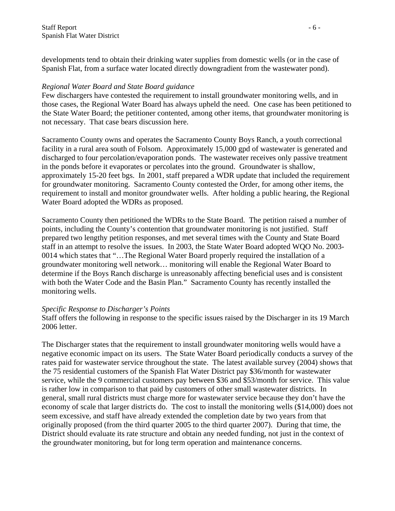developments tend to obtain their drinking water supplies from domestic wells (or in the case of Spanish Flat, from a surface water located directly downgradient from the wastewater pond).

### *Regional Water Board and State Board guidance*

Few dischargers have contested the requirement to install groundwater monitoring wells, and in those cases, the Regional Water Board has always upheld the need. One case has been petitioned to the State Water Board; the petitioner contented, among other items, that groundwater monitoring is not necessary. That case bears discussion here.

Sacramento County owns and operates the Sacramento County Boys Ranch, a youth correctional facility in a rural area south of Folsom. Approximately 15,000 gpd of wastewater is generated and discharged to four percolation/evaporation ponds. The wastewater receives only passive treatment in the ponds before it evaporates or percolates into the ground. Groundwater is shallow, approximately 15-20 feet bgs. In 2001, staff prepared a WDR update that included the requirement for groundwater monitoring. Sacramento County contested the Order, for among other items, the requirement to install and monitor groundwater wells. After holding a public hearing, the Regional Water Board adopted the WDRs as proposed.

Sacramento County then petitioned the WDRs to the State Board. The petition raised a number of points, including the County's contention that groundwater monitoring is not justified. Staff prepared two lengthy petition responses, and met several times with the County and State Board staff in an attempt to resolve the issues. In 2003, the State Water Board adopted WQO No. 2003- 0014 which states that "…The Regional Water Board properly required the installation of a groundwater monitoring well network… monitoring will enable the Regional Water Board to determine if the Boys Ranch discharge is unreasonably affecting beneficial uses and is consistent with both the Water Code and the Basin Plan." Sacramento County has recently installed the monitoring wells.

#### *Specific Response to Discharger's Points*

Staff offers the following in response to the specific issues raised by the Discharger in its 19 March 2006 letter.

The Discharger states that the requirement to install groundwater monitoring wells would have a negative economic impact on its users. The State Water Board periodically conducts a survey of the rates paid for wastewater service throughout the state. The latest available survey (2004) shows that the 75 residential customers of the Spanish Flat Water District pay \$36/month for wastewater service, while the 9 commercial customers pay between \$36 and \$53/month for service. This value is rather low in comparison to that paid by customers of other small wastewater districts. In general, small rural districts must charge more for wastewater service because they don't have the economy of scale that larger districts do. The cost to install the monitoring wells (\$14,000) does not seem excessive, and staff have already extended the completion date by two years from that originally proposed (from the third quarter 2005 to the third quarter 2007). During that time, the District should evaluate its rate structure and obtain any needed funding, not just in the context of the groundwater monitoring, but for long term operation and maintenance concerns.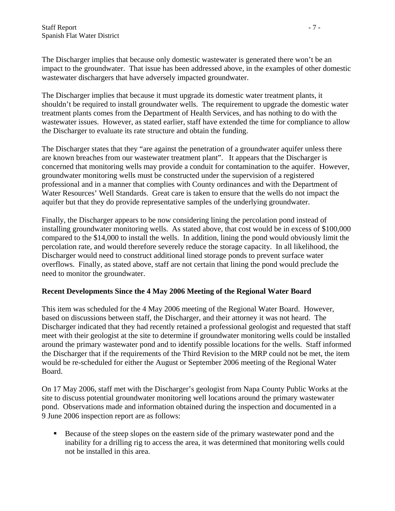The Discharger implies that because only domestic wastewater is generated there won't be an impact to the groundwater. That issue has been addressed above, in the examples of other domestic wastewater dischargers that have adversely impacted groundwater.

The Discharger implies that because it must upgrade its domestic water treatment plants, it shouldn't be required to install groundwater wells. The requirement to upgrade the domestic water treatment plants comes from the Department of Health Services, and has nothing to do with the wastewater issues. However, as stated earlier, staff have extended the time for compliance to allow the Discharger to evaluate its rate structure and obtain the funding.

The Discharger states that they "are against the penetration of a groundwater aquifer unless there are known breaches from our wastewater treatment plant". It appears that the Discharger is concerned that monitoring wells may provide a conduit for contamination to the aquifer. However, groundwater monitoring wells must be constructed under the supervision of a registered professional and in a manner that complies with County ordinances and with the Department of Water Resources' Well Standards. Great care is taken to ensure that the wells do not impact the aquifer but that they do provide representative samples of the underlying groundwater.

Finally, the Discharger appears to be now considering lining the percolation pond instead of installing groundwater monitoring wells. As stated above, that cost would be in excess of \$100,000 compared to the \$14,000 to install the wells. In addition, lining the pond would obviously limit the percolation rate, and would therefore severely reduce the storage capacity. In all likelihood, the Discharger would need to construct additional lined storage ponds to prevent surface water overflows. Finally, as stated above, staff are not certain that lining the pond would preclude the need to monitor the groundwater.

# **Recent Developments Since the 4 May 2006 Meeting of the Regional Water Board**

This item was scheduled for the 4 May 2006 meeting of the Regional Water Board. However, based on discussions between staff, the Discharger, and their attorney it was not heard. The Discharger indicated that they had recently retained a professional geologist and requested that staff meet with their geologist at the site to determine if groundwater monitoring wells could be installed around the primary wastewater pond and to identify possible locations for the wells. Staff informed the Discharger that if the requirements of the Third Revision to the MRP could not be met, the item would be re-scheduled for either the August or September 2006 meeting of the Regional Water Board.

On 17 May 2006, staff met with the Discharger's geologist from Napa County Public Works at the site to discuss potential groundwater monitoring well locations around the primary wastewater pond. Observations made and information obtained during the inspection and documented in a 9 June 2006 inspection report are as follows:

Because of the steep slopes on the eastern side of the primary wastewater pond and the inability for a drilling rig to access the area, it was determined that monitoring wells could not be installed in this area.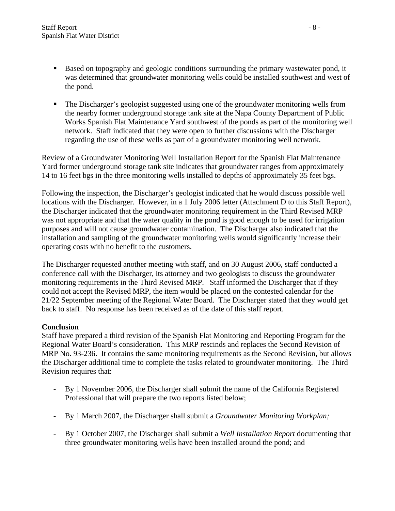- Based on topography and geologic conditions surrounding the primary wastewater pond, it was determined that groundwater monitoring wells could be installed southwest and west of the pond.
- The Discharger's geologist suggested using one of the groundwater monitoring wells from the nearby former underground storage tank site at the Napa County Department of Public Works Spanish Flat Maintenance Yard southwest of the ponds as part of the monitoring well network. Staff indicated that they were open to further discussions with the Discharger regarding the use of these wells as part of a groundwater monitoring well network.

Review of a Groundwater Monitoring Well Installation Report for the Spanish Flat Maintenance Yard former underground storage tank site indicates that groundwater ranges from approximately 14 to 16 feet bgs in the three monitoring wells installed to depths of approximately 35 feet bgs.

Following the inspection, the Discharger's geologist indicated that he would discuss possible well locations with the Discharger. However, in a 1 July 2006 letter (Attachment D to this Staff Report), the Discharger indicated that the groundwater monitoring requirement in the Third Revised MRP was not appropriate and that the water quality in the pond is good enough to be used for irrigation purposes and will not cause groundwater contamination. The Discharger also indicated that the installation and sampling of the groundwater monitoring wells would significantly increase their operating costs with no benefit to the customers.

The Discharger requested another meeting with staff, and on 30 August 2006, staff conducted a conference call with the Discharger, its attorney and two geologists to discuss the groundwater monitoring requirements in the Third Revised MRP. Staff informed the Discharger that if they could not accept the Revised MRP, the item would be placed on the contested calendar for the 21/22 September meeting of the Regional Water Board. The Discharger stated that they would get back to staff. No response has been received as of the date of this staff report.

# **Conclusion**

Staff have prepared a third revision of the Spanish Flat Monitoring and Reporting Program for the Regional Water Board's consideration. This MRP rescinds and replaces the Second Revision of MRP No. 93-236. It contains the same monitoring requirements as the Second Revision, but allows the Discharger additional time to complete the tasks related to groundwater monitoring. The Third Revision requires that:

- By 1 November 2006, the Discharger shall submit the name of the California Registered Professional that will prepare the two reports listed below;
- By 1 March 2007, the Discharger shall submit a *Groundwater Monitoring Workplan;*
- By 1 October 2007, the Discharger shall submit a *Well Installation Report* documenting that three groundwater monitoring wells have been installed around the pond; and